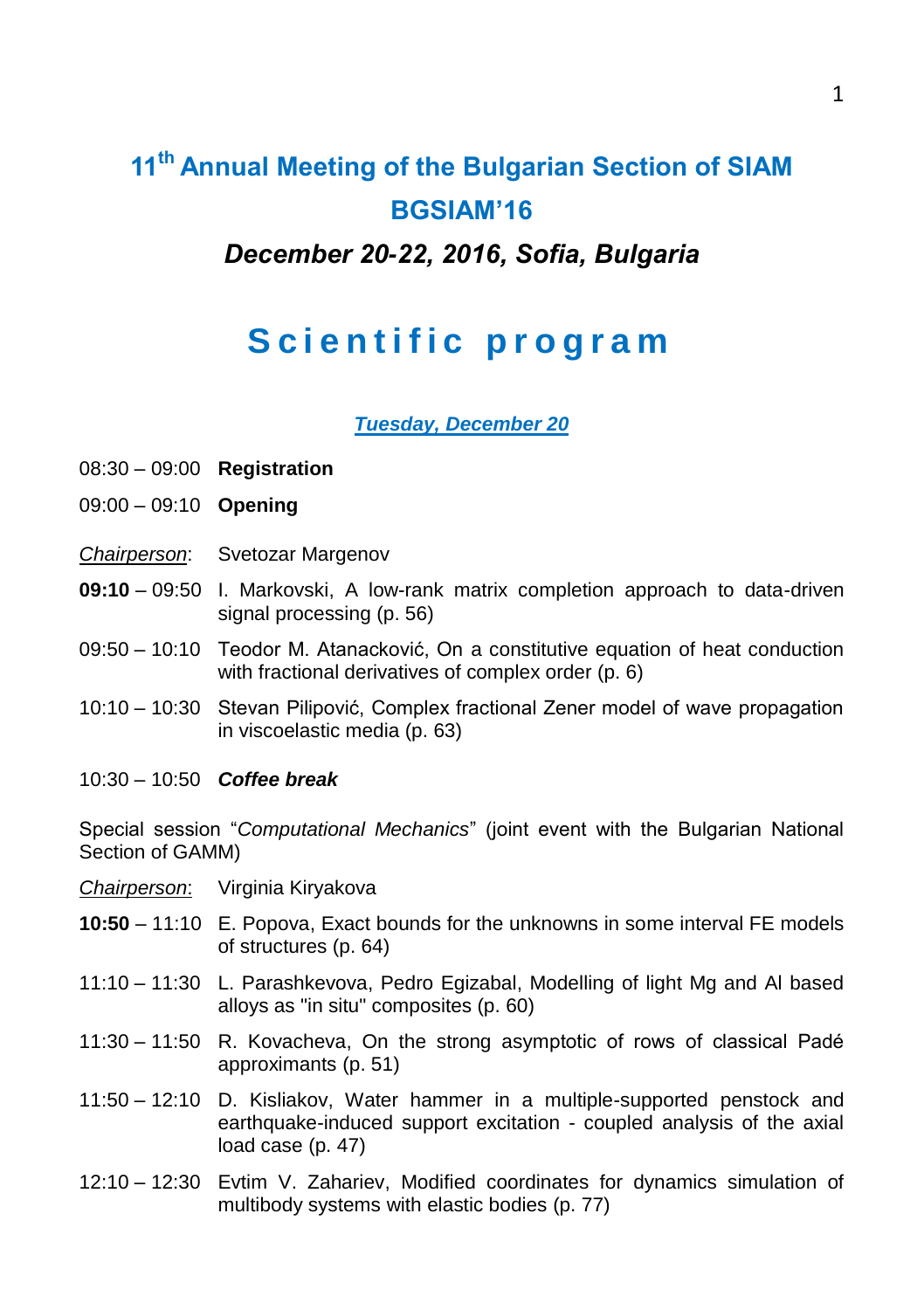# **11th Annual Meeting of the Bulgarian Section of SIAM BGSIAM'16** *December 20-22, 2016, Sofia, Bulgaria*

## **Scientific program**

*Tuesday, December 20*

- 08:30 09:00 **Registration**
- 09:00 09:10 **Opening**
- *Chairperson*: Svetozar Margenov
- **09:10** 09:50 I. Markovski, A low-rank matrix completion approach to data-driven signal processing (p. 56)
- 09:50 10:10 Teodor M. Atanacković, On a constitutive equation of heat conduction with fractional derivatives of complex order (p. 6)
- 10:10 10:30 Stevan Pilipović, Complex fractional Zener model of wave propagation in viscoelastic media (p. 63)
- 10:30 10:50 *Coffee break*

Special session "*Computational Mechanics*" (joint event with the Bulgarian National Section of GAMM)

- *Chairperson*: Virginia Kiryakova
- **10:50** 11:10 E. Popova, Exact bounds for the unknowns in some interval FE models of structures (p. 64)
- 11:10 11:30 L. Parashkevova, Pedro Egizabal, Modelling of light Mg and Al based alloys as "in situ" composites (p. 60)
- 11:30 11:50 R. Kovacheva, On the strong asymptotic of rows of classical Padé approximants (p. 51)
- 11:50 12:10 D. Kisliakov, Water hammer in a multiple-supported penstock and earthquake-induced support excitation - coupled analysis of the axial load case (p. 47)
- 12:10 12:30 Evtim V. Zahariev, Modified coordinates for dynamics simulation of multibody systems with elastic bodies (p. 77)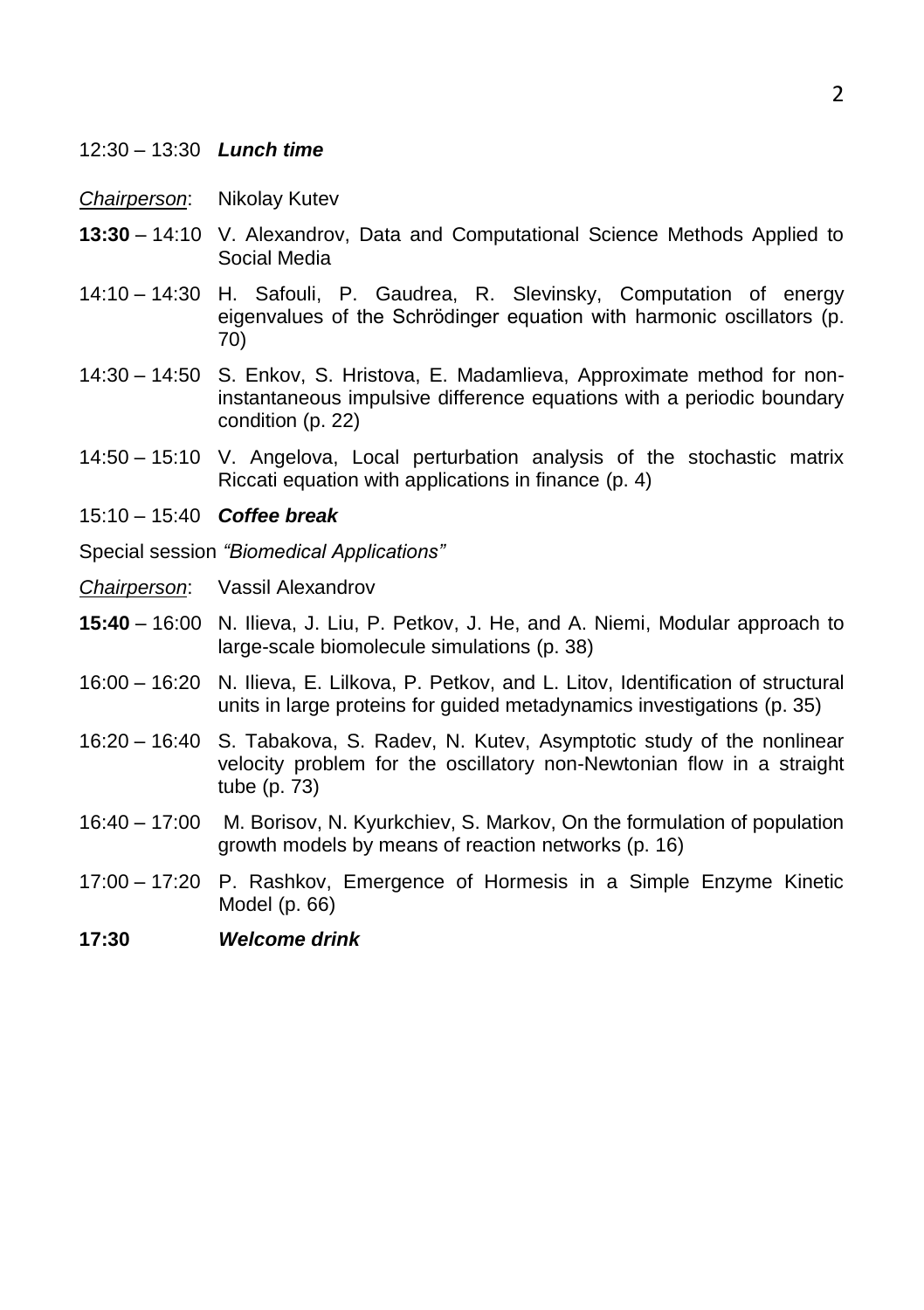- 12:30 13:30 *Lunch time*
- *Chairperson*: Nikolay Kutev
- **13:30** 14:10 V. Alexandrov, Data and Computational Science Methods Applied to Social Media
- 14:10 14:30 H. Safouli, P. Gaudrea, R. Slevinsky, Computation of energy eigenvalues of the Schrödinger equation with harmonic oscillators (p. 70)
- 14:30 14:50 S. Enkov, S. Hristova, E. Madamlieva, Approximate method for noninstantaneous impulsive difference equations with a periodic boundary condition (p. 22)
- 14:50 15:10 V. Angelova, Local perturbation analysis of the stochastic matrix Riccati equation with applications in finance (p. 4)
- 15:10 15:40 *Coffee break*
- Special session *"Biomedical Applications"*
- *Chairperson*: Vassil Alexandrov
- **15:40** 16:00 N. Ilieva, J. Liu, P. Petkov, J. He, and A. Niemi, Modular approach to large-scale biomolecule simulations (p. 38)
- 16:00 16:20 N. Ilieva, E. Lilkova, P. Petkov, and L. Litov, Identification of structural units in large proteins for guided metadynamics investigations (p. 35)
- 16:20 16:40 S. Tabakova, S. Radev, N. Kutev, Asymptotic study of the nonlinear velocity problem for the oscillatory non-Newtonian flow in a straight tube (p. 73)
- 16:40 17:00 M. Borisov, N. Kyurkchiev, S. Markov, On the formulation of population growth models by means of reaction networks (p. 16)
- 17:00 17:20 P. Rashkov, Emergence of Hormesis in a Simple Enzyme Kinetic Model (p. 66)
- **17:30** *Welcome drink*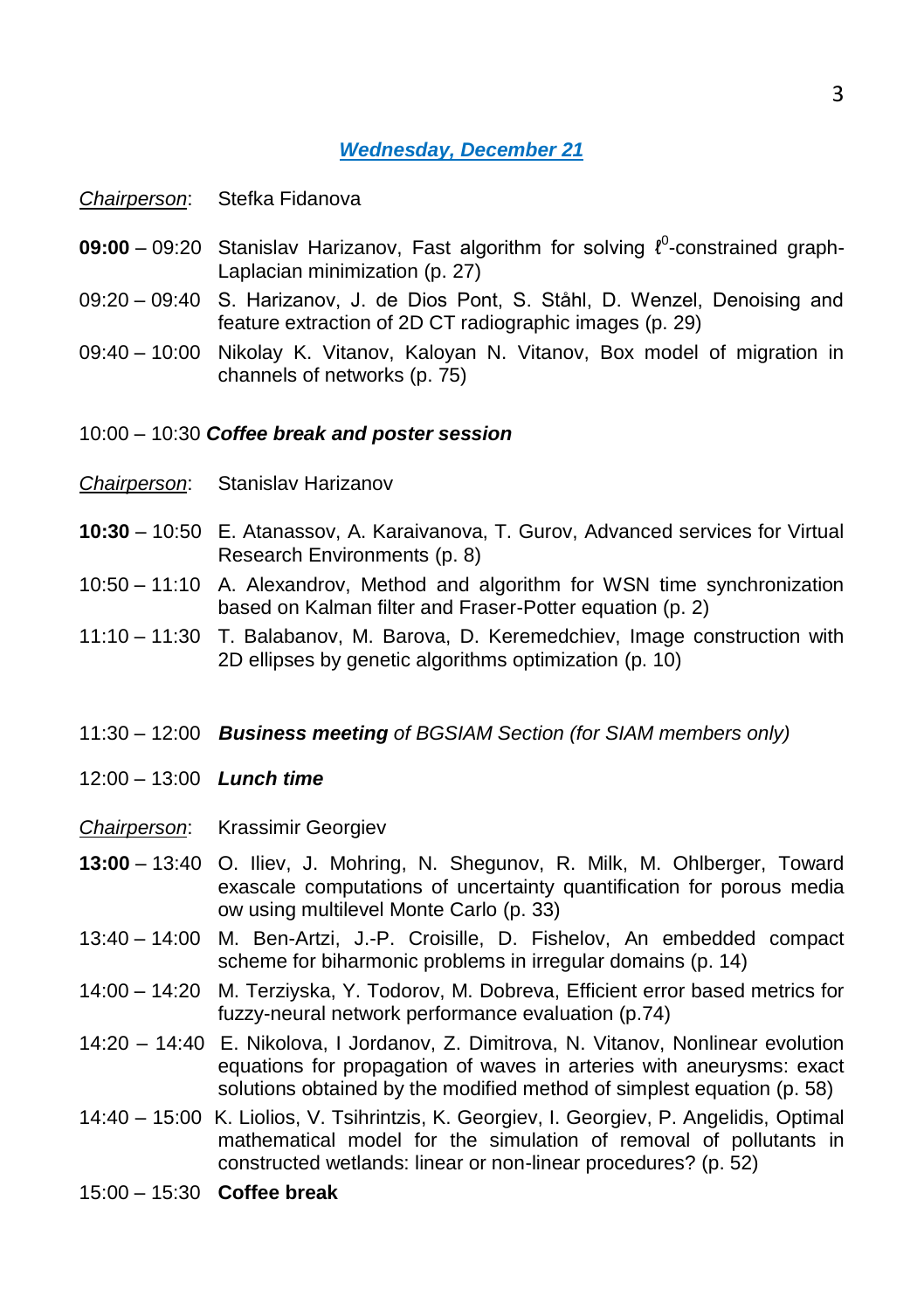#### *Wednesday, December 21*

*Chairperson*: Stefka Fidanova

- **09:00** − 09:20 Stanislav Harizanov, Fast algorithm for solving  $\ell^0$ -constrained graph-Laplacian minimization (p. 27)
- 09:20 09:40 S. Harizanov, J. de Dios Pont, S. Ståhl, D. Wenzel, Denoising and feature extraction of 2D CT radiographic images (p. 29)
- 09:40 10:00 Nikolay K. Vitanov, Kaloyan N. Vitanov, Box model of migration in channels of networks (p. 75)
- 10:00 10:30 *Coffee break and poster session*
- *Chairperson*: Stanislav Harizanov
- **10:30** 10:50 E. Atanassov, A. Karaivanova, T. Gurov, Advanced services for Virtual Research Environments (p. 8)
- 10:50 11:10 A. Alexandrov, Method and algorithm for WSN time synchronization based on Kalman filter and Fraser-Potter equation (p. 2)
- 11:10 11:30 T. Balabanov, M. Barova, D. Keremedchiev, Image construction with 2D ellipses by genetic algorithms optimization (p. 10)
- 11:30 12:00 *Business meeting of BGSIAM Section (for SIAM members only)*
- 12:00 13:00 *Lunch time*

*Chairperson*: Krassimir Georgiev

- **13:00** 13:40 O. Iliev, J. Mohring, N. Shegunov, R. Milk, M. Ohlberger, Toward exascale computations of uncertainty quantification for porous media ow using multilevel Monte Carlo (p. 33)
- 13:40 14:00 M. Ben-Artzi, J.-P. Croisille, D. Fishelov, An embedded compact scheme for biharmonic problems in irregular domains (p. 14)
- 14:00 14:20 M. Terziyska, Y. Todorov, M. Dobreva, Efficient error based metrics for fuzzy-neural network performance evaluation (p.74)
- 14:20 14:40 E. Nikolova, I Jordanov, Z. Dimitrova, N. Vitanov, Nonlinear evolution equations for propagation of waves in arteries with aneurysms: exact solutions obtained by the modified method of simplest equation (p. 58)
- 14:40 15:00 K. Liolios, V. Tsihrintzis, K. Georgiev, I. Georgiev, P. Angelidis, Optimal mathematical model for the simulation of removal of pollutants in constructed wetlands: linear or non-linear procedures? (p. 52)
- 15:00 15:30 **Coffee break**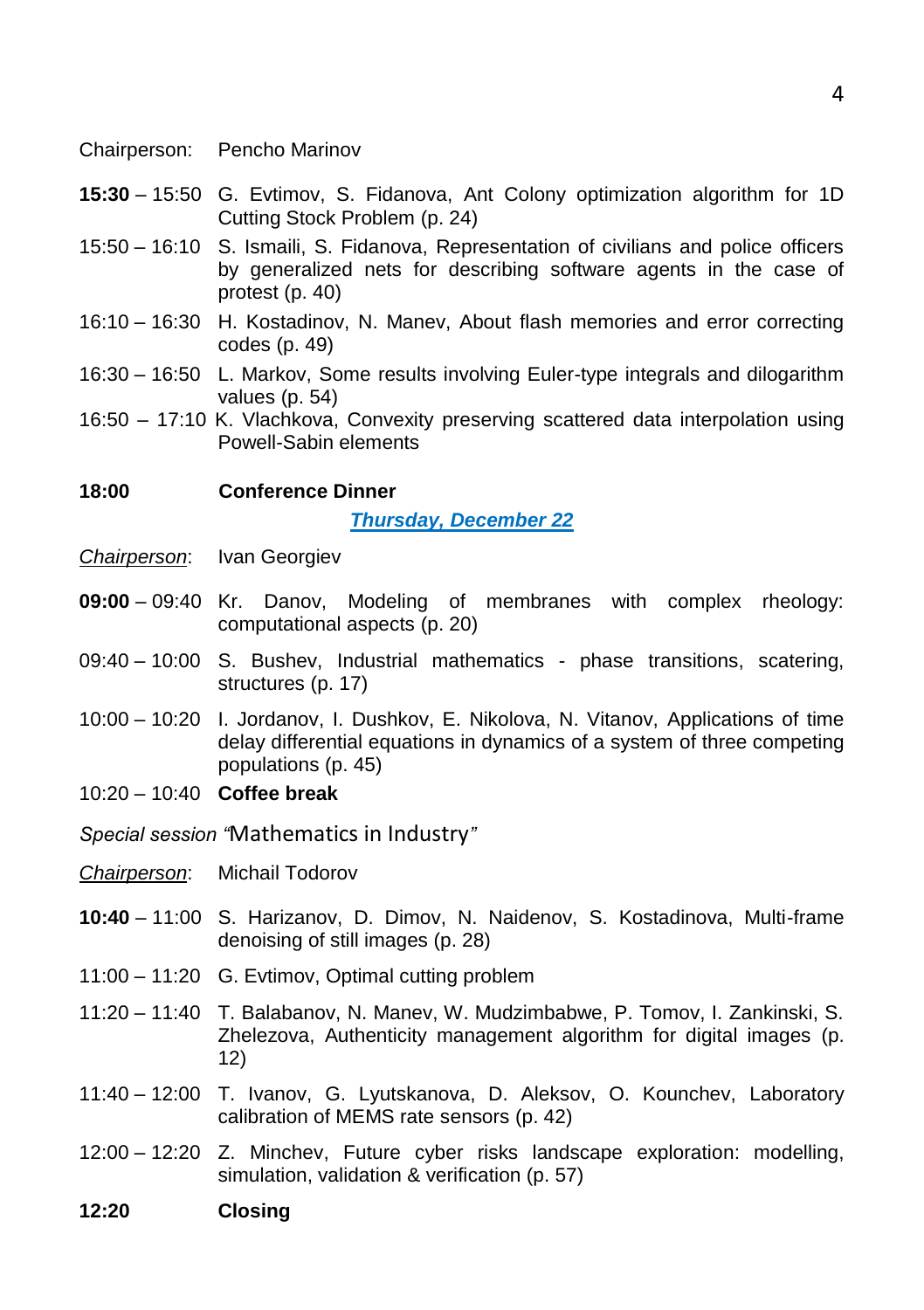- Chairperson: Pencho Marinov
- **15:30** 15:50 G. Evtimov, S. Fidanova, Ant Colony optimization algorithm for 1D Cutting Stock Problem (p. 24)
- 15:50 16:10 S. Ismaili, S. Fidanova, Representation of civilians and police officers by generalized nets for describing software agents in the case of protest (p. 40)
- 16:10 16:30 H. Kostadinov, N. Manev, About flash memories and error correcting codes (p. 49)
- 16:30 16:50 L. Markov, Some results involving Euler-type integrals and dilogarithm values (p. 54)
- 16:50 17:10 K. Vlachkova, Convexity preserving scattered data interpolation using Powell-Sabin elements

**18:00 Conference Dinner**

*Thursday, December 22*

- *Chairperson*: Ivan Georgiev
- **09:00** 09:40 Kr. Danov, Modeling of membranes with complex rheology: computational aspects (p. 20)
- 09:40 10:00 S. Bushev, Industrial mathematics phase transitions, scatering, structures (p. 17)
- 10:00 10:20 I. Jordanov, I. Dushkov, E. Nikolova, N. Vitanov, Applications of time delay differential equations in dynamics of a system of three competing populations (p. 45)
- 10:20 10:40 **Coffee break**
- *Special session "*Mathematics in Industry*"*
- *Chairperson*: Michail Todorov
- **10:40** 11:00 S. Harizanov, D. Dimov, N. Naidenov, S. Kostadinova, Multi-frame denoising of still images (p. 28)
- 11:00 11:20 G. Evtimov, Optimal cutting problem
- 11:20 11:40 T. Balabanov, N. Manev, W. Mudzimbabwe, P. Tomov, I. Zankinski, S. Zhelezova, Authenticity management algorithm for digital images (p. 12)
- 11:40 12:00 T. Ivanov, G. Lyutskanova, D. Aleksov, O. Kounchev, Laboratory calibration of MEMS rate sensors (p. 42)
- 12:00 12:20 Z. Minchev, Future cyber risks landscape exploration: modelling, simulation, validation & verification (p. 57)
- **12:20 Closing**